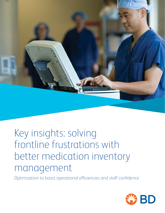

# Key insights: solving frontline frustrations with better medication inventory management

Optimization to boost operational efficiencies and staff confidence

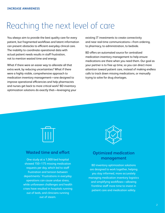### Reaching the next level of care

You always aim to provide the best quality care for every patient, but fragmented workflows and latent information can present obstacles to efficient everyday clinical care. The inability to coordinate operational data with actual patient needs results in staff frustration, not to mention wasted time and energy.

What if there were an easier way to alleviate all that extra work, by reducing uncertainties? What if there were a highly visible, comprehensive approach to medication inventory management—one designed to improve operational efficiencies and help pharmacists and nurses get back to more critical work? BD inventory optimization solutions do exactly that—leveraging your existing IT investments to create connectivity and near real-time communications—from ordering, to pharmacy, to administration, to bedside.

BD offers an automated source for centralized medication inventory management to help ensure medications are there when you need them. Our goal as your partner is to free up time, so you can direct more attention toward patient care, instead of making endless calls to track down missing medications, or manually trying to solve for drug shortages.



#### **Wasted time and effort**

One study at a 1,000-bed hospital showed 150–175 missing medication requests per day, which led to staff frustration and tension between departments.<sup>1</sup> Frustrations in everyday operations can cause undue stress, while unforeseen challenges and health crises have resulted in hospitals running out of beds, and clinicians running out of steam.



#### **Optimized medication management**

BD inventory optimization solutions are designed to work together, helping you stay informed, more accurately managing medication inventory logistics and simplifying workflows—allowing frontline staff more time to invest in patient care and medication safety.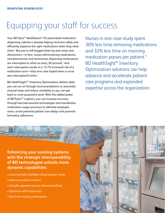## Equipping your staff for success

Your BD Pyxis™ MedStation™ ES automated medication dispensing cabinet is already helping clinicians safely and efficiently dispense the right medications when they need them.2 But you're still bogged down by wait times and distractions—in fact, nurses administering medications, and pharmacists and technicians dispensing medications, are interrupted as often as every 30 seconds.<sup>3</sup> And each interruption results in a 12.7% increased risk of a medication error—that error rate tripled when a nurse was interrupted 6 times.<sup>4</sup>

BD HealthSight™ Inventory Optimization delivers data you can act on through recommendations to automate manual steps and reduce variability so you can get back to more purposeful work. With the added power of BD Pyxis™ Logistics, you can increase accuracy through barcode-assisted technologies and standardize medication usage processes to alleviate employee stress, avoid potential patient care delays and promote formulary adherence.

Nurses in one case study spent 30% less time removing medications and 32% less time on morning medication passes per patient.<sup>5</sup> BD HealthSight™ Inventory Optimization solutions can help advance and accelerate patient care programs and expanded expertise across the organization.

### **Enhancing your existing systems with the strategic interoperability of BD technologies unlocks more dynamic capabilities:**

- Automatically highlight critical patient needs
- Reduce workflow conflicts
- Simplify operational and clinical workflows
- Optimize refill frequencies
- Minimize missing medications

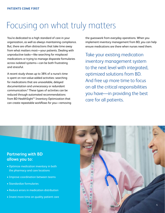### Focusing on what truly matters

You're dedicated to a high standard of care in your organization, as well as always maintaining compliance. But, there are often distractions that take time away from what matters most—your patients. Dealing with unproductive tasks—like searching for misplaced medications or trying to manage disparate formularies across isolated systems—can be both frustrating and stressful.

A recent study shows up to 38% of a nurse's time is spent on non-value-added activities: searching for medications that are unavailable, delayed documentation and unnecessary or redundant communication.6 These types of activities can be reduced through automated recommendations from BD HealthSight™ Inventory Optimization that can create repeatable workflows for you—removing the guesswork from everyday operations. When you implement inventory management from BD, you can help ensure medications are there when nurses need them.

Take your existing medication inventory management system to the next level with integrated, optimized solutions from BD. And free up more time to focus on all the critical responsibilities you have—in providing the best care for all patients.

#### **Partnering with BD allows you to:**

- Optimize medication inventory in both the pharmacy and care locations
- Improve coordination between teams
- Standardize formularies
- Reduce errors in medication distribution
- Invest more time on quality patient care

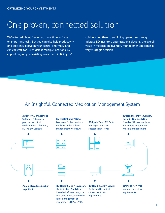### One proven, connected solution

We've talked about freeing up more time to focus on important tasks. But you can also help productivity and efficiency between your central pharmacy and clinical staff, too. Even across multiple locations. By capitalizing on your existing investment in BD Pyxis™

cabinets and then streamlining operations through additive BD inventory optimization solutions, the overall value in medication inventory management becomes a very strategic decision.

### An Insightful, Connected Medication Management System

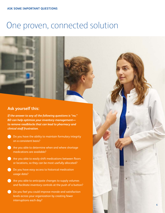### One proven, connected solution

#### **Ask yourself this:**

*If the answer to any of the following questions is "no," BD can help optimize your inventory management to remove roadblocks that can lead to pharmacy and clinical staff frustration.* 

- **Do you have the ability to maintain formulary integrity** on a consistent basis?
- **Are you able to determine when and where shortage** medications are available?
- **Are you able to easily shift medications between floors** or locations, so they can be most usefully allocated?
- **Do you have easy access to historical medication** usage data?
- **Are you able to anticipate changes to supply volumes** and facilitate inventory controls at the push of a button?
- **b** Do you feel you could improve morale and satisfaction levels across your organization by creating fewer interruptions each day?